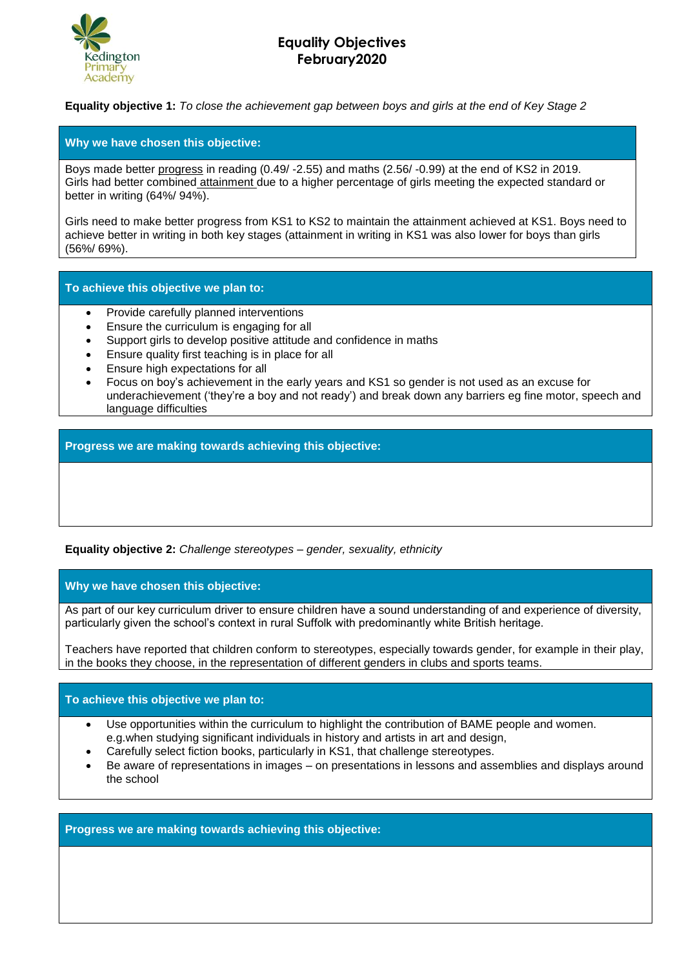

## **Equality Objectives February2020**

**Equality objective 1:** *To close the achievement gap between boys and girls at the end of Key Stage 2*

## **Why we have chosen this objective:**

Boys made better progress in reading (0.49/ -2.55) and maths (2.56/ -0.99) at the end of KS2 in 2019. Girls had better combined attainment due to a higher percentage of girls meeting the expected standard or better in writing (64%/ 94%).

Girls need to make better progress from KS1 to KS2 to maintain the attainment achieved at KS1. Boys need to achieve better in writing in both key stages (attainment in writing in KS1 was also lower for boys than girls (56%/ 69%).

**To achieve this objective we plan to:**

- Provide carefully planned interventions
- Ensure the curriculum is engaging for all
- Support girls to develop positive attitude and confidence in maths
- Ensure quality first teaching is in place for all
- Ensure high expectations for all
- Focus on boy's achievement in the early years and KS1 so gender is not used as an excuse for underachievement ('they're a boy and not ready') and break down any barriers eg fine motor, speech and language difficulties

**Progress we are making towards achieving this objective:**

**Equality objective 2:** *Challenge stereotypes – gender, sexuality, ethnicity*

**Why we have chosen this objective:**

As part of our key curriculum driver to ensure children have a sound understanding of and experience of diversity, particularly given the school's context in rural Suffolk with predominantly white British heritage.

Teachers have reported that children conform to stereotypes, especially towards gender, for example in their play, in the books they choose, in the representation of different genders in clubs and sports teams.

## **To achieve this objective we plan to:**

- Use opportunities within the curriculum to highlight the contribution of BAME people and women. e.g.when studying significant individuals in history and artists in art and design,
- Carefully select fiction books, particularly in KS1, that challenge stereotypes.
- Be aware of representations in images on presentations in lessons and assemblies and displays around the school

**Progress we are making towards achieving this objective:**